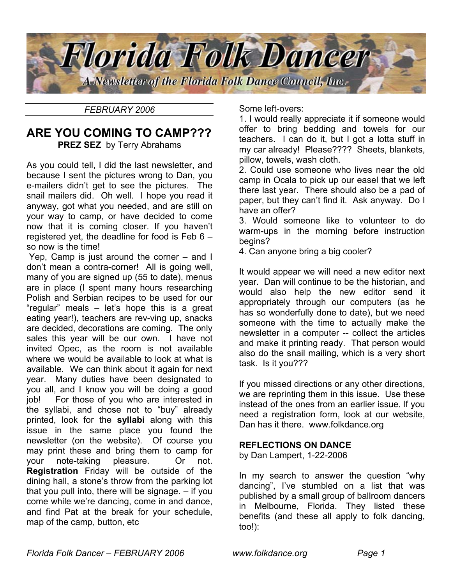

*FEBRUARY 2006*

# **ARE YOU COMING TO CAMP??? PREZ SEZ** by Terry Abrahams

As you could tell, I did the last newsletter, and because I sent the pictures wrong to Dan, you e-mailers didn't get to see the pictures. The snail mailers did. Oh well. I hope you read it anyway, got what you needed, and are still on your way to camp, or have decided to come now that it is coming closer. If you haven't registered yet, the deadline for food is Feb 6 – so now is the time!

Yep, Camp is just around the corner – and I don't mean a contra-corner! All is going well, many of you are signed up (55 to date), menus are in place (I spent many hours researching Polish and Serbian recipes to be used for our "regular" meals – let's hope this is a great eating year!), teachers are rev-ving up, snacks are decided, decorations are coming. The only sales this year will be our own. I have not invited Opec, as the room is not available where we would be available to look at what is available. We can think about it again for next year. Many duties have been designated to you all, and I know you will be doing a good job! For those of you who are interested in the syllabi, and chose not to "buy" already printed, look for the **syllabi** along with this issue in the same place you found the newsletter (on the website). Of course you may print these and bring them to camp for your note-taking pleasure. Or not. **Registration** Friday will be outside of the dining hall, a stone's throw from the parking lot that you pull into, there will be signage. – if you come while we're dancing, come in and dance, and find Pat at the break for your schedule, map of the camp, button, etc

Some left-overs:

1. I would really appreciate it if someone would offer to bring bedding and towels for our teachers. I can do it, but I got a lotta stuff in my car already! Please???? Sheets, blankets, pillow, towels, wash cloth.

2. Could use someone who lives near the old camp in Ocala to pick up our easel that we left there last year. There should also be a pad of paper, but they can't find it. Ask anyway. Do I have an offer?

3. Would someone like to volunteer to do warm-ups in the morning before instruction begins?

4. Can anyone bring a big cooler?

It would appear we will need a new editor next year. Dan will continue to be the historian, and would also help the new editor send it appropriately through our computers (as he has so wonderfully done to date), but we need someone with the time to actually make the newsletter in a computer -- collect the articles and make it printing ready. That person would also do the snail mailing, which is a very short task. Is it you???

If you missed directions or any other directions, we are reprinting them in this issue. Use these instead of the ones from an earlier issue. If you need a registration form, look at our website, Dan has it there. www.folkdance.org

## **REFLECTIONS ON DANCE**

by Dan Lampert, 1-22-2006

In my search to answer the question "why dancing", I've stumbled on a list that was published by a small group of ballroom dancers in Melbourne, Florida. They listed these benefits (and these all apply to folk dancing, too!):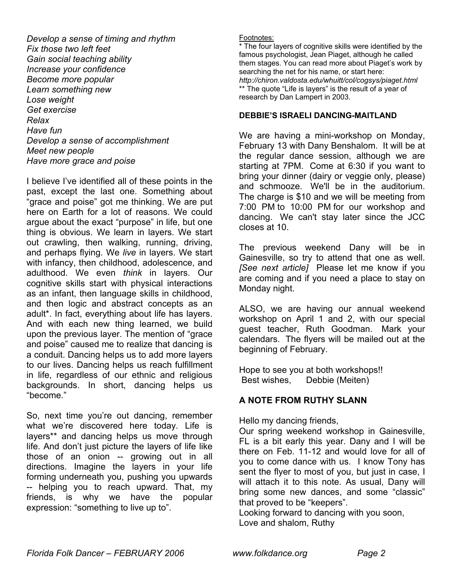*Develop a sense of timing and rhythm Fix those two left feet Gain social teaching ability Increase your confidence Become more popular Learn something new Lose weight Get exercise Relax Have fun Develop a sense of accomplishment Meet new people Have more grace and poise* 

I believe I've identified all of these points in the past, except the last one. Something about "grace and poise" got me thinking. We are put here on Earth for a lot of reasons. We could argue about the exact "purpose" in life, but one thing is obvious. We learn in layers. We start out crawling, then walking, running, driving, and perhaps flying. We *live* in layers. We start with infancy, then childhood, adolescence, and adulthood. We even *think* in layers. Our cognitive skills start with physical interactions as an infant, then language skills in childhood, and then logic and abstract concepts as an adult\*. In fact, everything about life has layers. And with each new thing learned, we build upon the previous layer. The mention of "grace and poise" caused me to realize that dancing is a conduit. Dancing helps us to add more layers to our lives. Dancing helps us reach fulfillment in life, regardless of our ethnic and religious backgrounds. In short, dancing helps us "become."

So, next time you're out dancing, remember what we're discovered here today. Life is layers\*\* and dancing helps us move through life. And don't just picture the layers of life like those of an onion -- growing out in all directions. Imagine the layers in your life forming underneath you, pushing you upwards -- helping you to reach upward. That, my friends, is why we have the popular expression: "something to live up to".

#### Footnotes:

The four layers of cognitive skills were identified by the famous psychologist, Jean Piaget, although he called them stages. You can read more about Piaget's work by searching the net for his name, or start here: *http://chiron.valdosta.edu/whuitt/col/cogsys/piaget.html*  \*\* The quote "Life is layers" is the result of a year of research by Dan Lampert in 2003.

#### **DEBBIE'S ISRAELI DANCING-MAITLAND**

We are having a mini-workshop on Monday, February 13 with Dany Benshalom. It will be at the regular dance session, although we are starting at 7PM. Come at 6:30 if you want to bring your dinner (dairy or veggie only, please) and schmooze. We'll be in the auditorium. The charge is \$10 and we will be meeting from 7:00 PM to 10:00 PM for our workshop and dancing. We can't stay later since the JCC closes at 10.

The previous weekend Dany will be in Gainesville, so try to attend that one as well. *[See next article]* Please let me know if you are coming and if you need a place to stay on Monday night.

ALSO, we are having our annual weekend workshop on April 1 and 2, with our special guest teacher, Ruth Goodman. Mark your calendars. The flyers will be mailed out at the beginning of February.

Hope to see you at both workshops!! Best wishes, Debbie (Meiten)

## **A NOTE FROM RUTHY SLANN**

Hello my dancing friends,

Our spring weekend workshop in Gainesville, FL is a bit early this year. Dany and I will be there on Feb. 11-12 and would love for all of you to come dance with us. I know Tony has sent the flyer to most of you, but just in case, I will attach it to this note. As usual, Dany will bring some new dances, and some "classic" that proved to be "keepers".

Looking forward to dancing with you soon, Love and shalom, Ruthy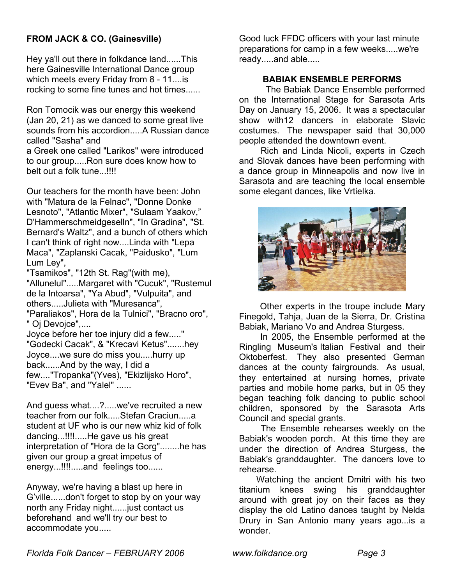## **FROM JACK & CO. (Gainesville)**

Hey ya'll out there in folkdance land......This here Gainesville International Dance group which meets every Friday from 8 - 11....is rocking to some fine tunes and hot times......

Ron Tomocik was our energy this weekend (Jan 20, 21) as we danced to some great live sounds from his accordion.....A Russian dance called "Sasha" and

a Greek one called "Larikos" were introduced to our group.....Ron sure does know how to belt out a folk tune...!!!!

Our teachers for the month have been: John with "Matura de la Felnac", "Donne Donke Lesnoto", "Atlantic Mixer", "Sulaam Yaakov," D'Hammerschmeidgeselln", "In Gradina", "St. Bernard's Waltz", and a bunch of others which I can't think of right now....Linda with "Lepa Maca", "Zaplanski Cacak, "Paidusko", "Lum Lum Ley",

"Tsamikos", "12th St. Rag"(with me), "Allunelul".....Margaret with "Cucuk", "Rustemul de la Intoarsa", "Ya Abud", "Vulpuita", and others.....Julieta with "Muresanca", "Paraliakos", Hora de la Tulnici", "Bracno oro", " Oj Devojce",....

Joyce before her toe injury did a few....." "Godecki Cacak", & "Krecavi Ketus".......hey Joyce....we sure do miss you.....hurry up back......And by the way, I did a few...."Tropanka"(Yves), "Ekizlijsko Horo", "Evev Ba", and "Yalel" ......

And guess what....?.....we've recruited a new teacher from our folk.....Stefan Craciun.....a student at UF who is our new whiz kid of folk dancing...!!!!.....He gave us his great interpretation of "Hora de la Gorg"........he has given our group a great impetus of energy...!!!!.....and feelings too......

Anyway, we're having a blast up here in G'ville......don't forget to stop by on your way north any Friday night......just contact us beforehand and we'll try our best to accommodate you.....

Good luck FFDC officers with your last minute preparations for camp in a few weeks.....we're ready.....and able.....

## **BABIAK ENSEMBLE PERFORMS**

The Babiak Dance Ensemble performed on the International Stage for Sarasota Arts Day on January 15, 2006. It was a spectacular show with12 dancers in elaborate Slavic costumes. The newspaper said that 30,000 people attended the downtown event.

 Rich and Linda Nicoli, experts in Czech and Slovak dances have been performing with a dance group in Minneapolis and now live in Sarasota and are teaching the local ensemble some elegant dances, like Vrtielka.



 Other experts in the troupe include Mary Finegold, Tahja, Juan de la Sierra, Dr. Cristina Babiak, Mariano Vo and Andrea Sturgess.

 In 2005, the Ensemble performed at the Ringling Museum's Italian Festival and their Oktoberfest. They also presented German dances at the county fairgrounds. As usual, they entertained at nursing homes, private parties and mobile home parks, but in 05 they began teaching folk dancing to public school children, sponsored by the Sarasota Arts Council and special grants.

 The Ensemble rehearses weekly on the Babiak's wooden porch. At this time they are under the direction of Andrea Sturgess, the Babiak's granddaughter. The dancers love to rehearse.

Watching the ancient Dmitri with his two titanium knees swing his granddaughter around with great joy on their faces as they display the old Latino dances taught by Nelda Drury in San Antonio many years ago...is a wonder.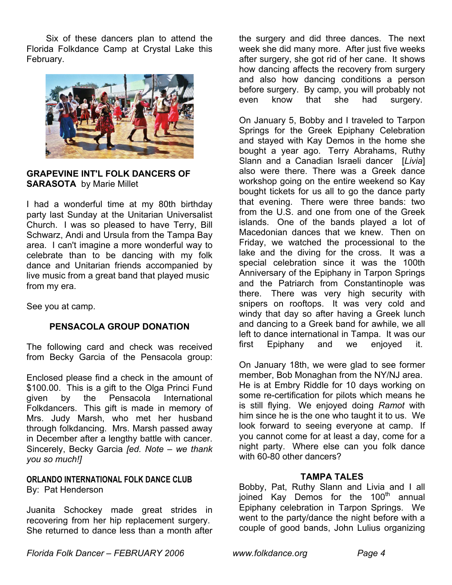Six of these dancers plan to attend the Florida Folkdance Camp at Crystal Lake this February.



**GRAPEVINE INT'L FOLK DANCERS OF SARASOTA** by Marie Millet

I had a wonderful time at my 80th birthday party last Sunday at the Unitarian Universalist Church. I was so pleased to have Terry, Bill Schwarz, Andi and Ursula from the Tampa Bay area. I can't imagine a more wonderful way to celebrate than to be dancing with my folk dance and Unitarian friends accompanied by live music from a great band that played music from my era.

See you at camp.

## **PENSACOLA GROUP DONATION**

The following card and check was received from Becky Garcia of the Pensacola group:

Enclosed please find a check in the amount of \$100.00. This is a gift to the Olga Princi Fund given by the Pensacola International Folkdancers. This gift is made in memory of Mrs. Judy Marsh, who met her husband through folkdancing. Mrs. Marsh passed away in December after a lengthy battle with cancer. Sincerely, Becky Garcia *[ed. Note – we thank you so much!]* 

## **ORLANDO INTERNATIONAL FOLK DANCE CLUB** By: Pat Henderson

Juanita Schockey made great strides in recovering from her hip replacement surgery. She returned to dance less than a month after

the surgery and did three dances. The next week she did many more. After just five weeks after surgery, she got rid of her cane. It shows how dancing affects the recovery from surgery and also how dancing conditions a person before surgery. By camp, you will probably not even know that she had surgery.

On January 5, Bobby and I traveled to Tarpon Springs for the Greek Epiphany Celebration and stayed with Kay Demos in the home she bought a year ago. Terry Abrahams, Ruthy Slann and a Canadian Israeli dancer [*Livia*] also were there. There was a Greek dance workshop going on the entire weekend so Kay bought tickets for us all to go the dance party that evening. There were three bands: two from the U.S. and one from one of the Greek islands. One of the bands played a lot of Macedonian dances that we knew. Then on Friday, we watched the processional to the lake and the diving for the cross. It was a special celebration since it was the 100th Anniversary of the Epiphany in Tarpon Springs and the Patriarch from Constantinople was there. There was very high security with snipers on rooftops. It was very cold and windy that day so after having a Greek lunch and dancing to a Greek band for awhile, we all left to dance international in Tampa. It was our first Epiphany and we enjoyed it.

On January 18th, we were glad to see former member, Bob Monaghan from the NY/NJ area. He is at Embry Riddle for 10 days working on some re-certification for pilots which means he is still flying. We enjoyed doing *Ramot* with him since he is the one who taught it to us. We look forward to seeing everyone at camp. If you cannot come for at least a day, come for a night party. Where else can you folk dance with 60-80 other dancers?

## **TAMPA TALES**

Bobby, Pat, Ruthy Slann and Livia and I all joined Kay Demos for the 100<sup>th</sup> annual Epiphany celebration in Tarpon Springs. We went to the party/dance the night before with a couple of good bands, John Lulius organizing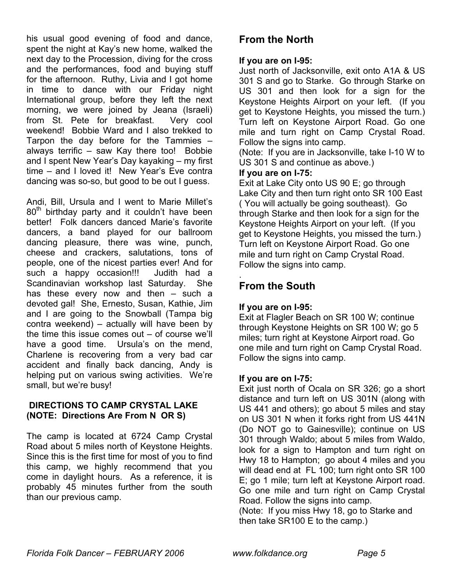his usual good evening of food and dance, spent the night at Kay's new home, walked the next day to the Procession, diving for the cross and the performances, food and buying stuff for the afternoon. Ruthy, Livia and I got home in time to dance with our Friday night International group, before they left the next morning, we were joined by Jeana (Israeli) from St. Pete for breakfast. Very cool weekend! Bobbie Ward and I also trekked to Tarpon the day before for the Tammies – always terrific – saw Kay there too! Bobbie and I spent New Year's Day kayaking – my first time – and I loved it! New Year's Eve contra dancing was so-so, but good to be out I guess.

Andi, Bill, Ursula and I went to Marie Millet's  $80<sup>th</sup>$  birthday party and it couldn't have been better! Folk dancers danced Marie's favorite dancers, a band played for our ballroom dancing pleasure, there was wine, punch, cheese and crackers, salutations, tons of people, one of the nicest parties ever! And for such a happy occasion!!! Judith had a Scandinavian workshop last Saturday. She has these every now and then – such a devoted gal! She, Ernesto, Susan, Kathie, Jim and I are going to the Snowball (Tampa big contra weekend) – actually will have been by the time this issue comes out – of course we'll have a good time. Ursula's on the mend, Charlene is recovering from a very bad car accident and finally back dancing, Andy is helping put on various swing activities. We're small, but we're busy!

## **DIRECTIONS TO CAMP CRYSTAL LAKE (NOTE: Directions Are From N OR S)**

The camp is located at 6724 Camp Crystal Road about 5 miles north of Keystone Heights. Since this is the first time for most of you to find this camp, we highly recommend that you come in daylight hours. As a reference, it is probably 45 minutes further from the south than our previous camp.

# **From the North**

## **If you are on I-95:**

Just north of Jacksonville, exit onto A1A & US 301 S and go to Starke. Go through Starke on US 301 and then look for a sign for the Keystone Heights Airport on your left. (If you get to Keystone Heights, you missed the turn.) Turn left on Keystone Airport Road. Go one mile and turn right on Camp Crystal Road. Follow the signs into camp.

(Note: If you are in Jacksonville, take I-10 W to US 301 S and continue as above.)

## **If you are on I-75:**

Exit at Lake City onto US 90 E; go through Lake City and then turn right onto SR 100 East ( You will actually be going southeast). Go through Starke and then look for a sign for the Keystone Heights Airport on your left. (If you get to Keystone Heights, you missed the turn.) Turn left on Keystone Airport Road. Go one mile and turn right on Camp Crystal Road. Follow the signs into camp.

# **From the South**

.

## **If you are on I-95:**

Exit at Flagler Beach on SR 100 W; continue through Keystone Heights on SR 100 W; go 5 miles; turn right at Keystone Airport road. Go one mile and turn right on Camp Crystal Road. Follow the signs into camp.

## **If you are on I-75:**

Exit just north of Ocala on SR 326; go a short distance and turn left on US 301N (along with US 441 and others); go about 5 miles and stay on US 301 N when it forks right from US 441N (Do NOT go to Gainesville); continue on US 301 through Waldo; about 5 miles from Waldo, look for a sign to Hampton and turn right on Hwy 18 to Hampton; go about 4 miles and you will dead end at FL 100; turn right onto SR 100 E; go 1 mile; turn left at Keystone Airport road. Go one mile and turn right on Camp Crystal Road. Follow the signs into camp.

(Note: If you miss Hwy 18, go to Starke and then take SR100 E to the camp.)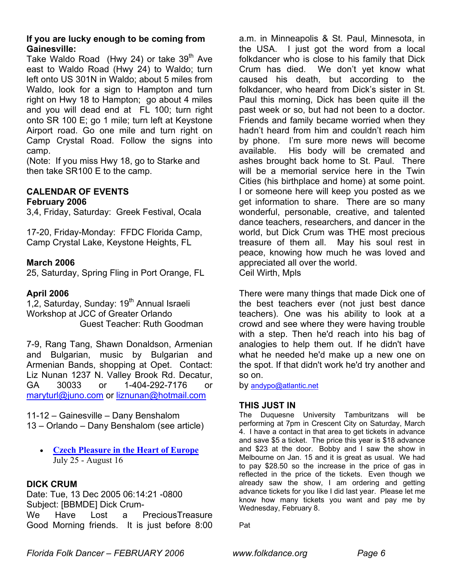## **If you are lucky enough to be coming from Gainesville:**

Take Waldo Road (Hwy 24) or take  $39<sup>th</sup>$  Ave east to Waldo Road (Hwy 24) to Waldo; turn left onto US 301N in Waldo; about 5 miles from Waldo, look for a sign to Hampton and turn right on Hwy 18 to Hampton; go about 4 miles and you will dead end at FL 100; turn right onto SR 100 E; go 1 mile; turn left at Keystone Airport road. Go one mile and turn right on Camp Crystal Road. Follow the signs into camp.

(Note: If you miss Hwy 18, go to Starke and then take SR100 E to the camp.

# **CALENDAR OF EVENTS**

## **February 2006**

3,4, Friday, Saturday: Greek Festival, Ocala

17-20, Friday-Monday: FFDC Florida Camp, Camp Crystal Lake, Keystone Heights, FL

## **March 2006**

25, Saturday, Spring Fling in Port Orange, FL

#### **April 2006**

1,2, Saturday, Sunday: 19<sup>th</sup> Annual Israeli Workshop at JCC of Greater Orlando Guest Teacher: Ruth Goodman

7-9, Rang Tang, Shawn Donaldson, Armenian and Bulgarian, music by Bulgarian and Armenian Bands, shopping at Opet. Contact: Liz Nunan 1237 N. Valley Brook Rd. Decatur, GA 30033 or 1-404-292-7176 or [maryturl@juno.com](mailto:maryturl@juno.com) or [liznunan@hotmail.com](mailto:liznunan@hotmail.com)

11-12 – Gainesville – Dany Benshalom 13 – Orlando – Dany Benshalom (see article)

• **[Czech Pleasure in the Heart of Europe](http://www.dvorana.cz/dance/folk2006/00.html)** July 25 - August 16

## **DICK CRUM**

Date: Tue, 13 Dec 2005 06:14:21 -0800 Subject: [BBMDE] Dick Crum-We Have Lost a PreciousTreasure Good Morning friends. It is just before 8:00 a.m. in Minneapolis & St. Paul, Minnesota, in the USA. I just got the word from a local folkdancer who is close to his family that Dick Crum has died. We don't yet know what caused his death, but according to the folkdancer, who heard from Dick's sister in St. Paul this morning, Dick has been quite ill the past week or so, but had not been to a doctor. Friends and family became worried when they hadn't heard from him and couldn't reach him by phone. I'm sure more news will become available. His body will be cremated and ashes brought back home to St. Paul. There will be a memorial service here in the Twin Cities (his birthplace and home) at some point. I or someone here will keep you posted as we get information to share. There are so many wonderful, personable, creative, and talented dance teachers, researchers, and dancer in the world, but Dick Crum was THE most precious treasure of them all. May his soul rest in peace, knowing how much he was loved and appreciated all over the world.

Ceil Wirth, Mpls

There were many things that made Dick one of the best teachers ever (not just best dance teachers). One was his ability to look at a crowd and see where they were having trouble with a step. Then he'd reach into his bag of analogies to help them out. If he didn't have what he needed he'd make up a new one on the spot. If that didn't work he'd try another and so on.

by [andypo@atlantic.net](mailto:andypo@atlantic.net)

## **THIS JUST IN**

The Duquesne University Tamburitzans will be performing at 7pm in Crescent City on Saturday, March 4. I have a contact in that area to get tickets in advance and save \$5 a ticket. The price this year is \$18 advance and \$23 at the door. Bobby and I saw the show in Melbourne on Jan. 15 and it is great as usual. We had to pay \$28.50 so the increase in the price of gas in reflected in the price of the tickets. Even though we already saw the show, I am ordering and getting advance tickets for you like I did last year. Please let me know how many tickets you want and pay me by Wednesday, February 8.

Pat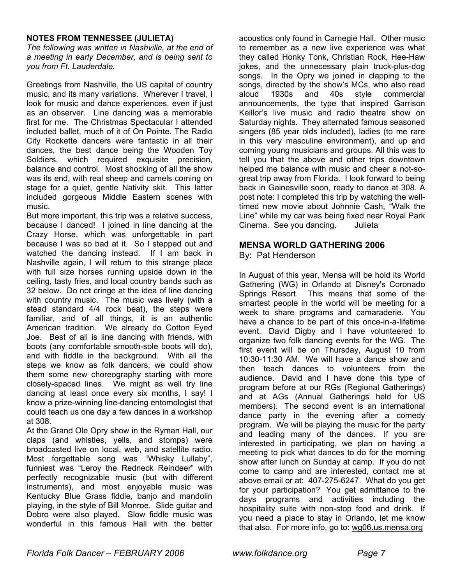#### **NOTES FROM TENNESSEE (JULIETA)**

*The following was written in Nashville, at the end of a meeting in early December, and is being sent to you from Ft. Lauderdale.*

Greetings from Nashville, the US capital of country music, and its many variations. Wherever I travel, I look for music and dance experiences, even if just as an observer. Line dancing was a memorable first for me. The Christmas Spectacular I attended included ballet, much of it of On Pointe. The Radio City Rockette dancers were fantastic in all their dances, the best dance being the Wooden Toy Soldiers, which required exquisite precision, balance and control. Most shocking of all the show was its end, with real sheep and camels coming on stage for a quiet, gentle Nativity skit. This latter included gorgeous Middle Eastern scenes with music.

But more important, this trip was a relative success, because I danced! I joined in line dancing at the Crazy Horse, which was unforgettable in part because I was so bad at it. So I stepped out and watched the dancing instead. If I am back in Nashville again, I will return to this strange place with full size horses running upside down in the ceiling, tasty fries, and local country bands such as 32 below. Do not cringe at the idea of line dancing with country music. The music was lively (with a stead standard 4/4 rock beat), the steps were familiar, and of all things, it is an authentic American tradition. We already do Cotton Eyed Joe. Best of all is line dancing with friends, with boots (any comfortable smooth-sole boots will do), and with fiddle in the background. With all the steps we know as folk dancers, we could show them some new choreography starting with more closely-spaced lines. We might as well try line dancing at least once every six months, I say! I know a prize-winning line-dancing entomologist that could teach us one day a few dances in a workshop at 308.

At the Grand Ole Opry show in the Ryman Hall, our claps (and whistles, yells, and stomps) were broadcasted live on local, web, and satellite radio. Most forgettable song was "Whisky Lullaby", funniest was "Leroy the Redneck Reindeer" with perfectly recognizable music (but with different instruments), and most enjoyable music was Kentucky Blue Grass fiddle, banjo and mandolin playing, in the style of Bill Monroe. Slide guitar and Dobro were also played. Slow fiddle music was wonderful in this famous Hall with the better

acoustics only found in Carnegie Hall. Other music to remember as a new live experience was what they called Honky Tonk, Christian Rock, Hee-Haw jokes, and the unnecessary plain truck-plus-dog songs. In the Opry we joined in clapping to the songs, directed by the show's MCs, who also read aloud 1930s and 40s style commercial announcements, the type that inspired Garrison Keillor's live music and radio theatre show on Saturday nights. They alternated famous seasoned singers (85 year olds included), ladies (to me rare in this very masculine environment), and up and coming young musicians and groups. All this was to tell you that the above and other trips downtown helped me balance with music and cheer a not-sogreat trip away from Florida. I look forward to being back in Gainesville soon, ready to dance at 308. A post note: I completed this trip by watching the welltimed new movie about Johnnie Cash, "Walk the Line" while my car was being fixed near Royal Park Cinema. See you dancing. Julieta

#### **MENSA WORLD GATHERING 2006**

By: Pat Henderson

In August of this year, Mensa will be hold its World Gathering (WG) in Orlando at Disney's Coronado Springs Resort. This means that some of the smartest people in the world will be meeting for a week to share programs and camaraderie. You have a chance to be part of this once-in-a-lifetime event. David Digby and I have volunteered to organize two folk dancing events for the WG. The first event will be on Thursday, August 10 from 10:30-11:30 AM. We will have a dance show and then teach dances to volunteers from the audience. David and I have done this type of program before at our RGs (Regional Gatherings) and at AGs (Annual Gatherings held for US members). The second event is an international dance party in the evening after a comedy program. We will be playing the music for the party and leading many of the dances. If you are interested in participating, we plan on having a meeting to pick what dances to do for the morning show after lunch on Sunday at camp. If you do not come to camp and are interested, contact me at above email or at: 407-275-6247. What do you get for your participation? You get admittance to the days programs and activities including the hospitality suite with non-stop food and drink. If you need a place to stay in Orlando, let me know that also. For more info, go to: wg06.us.mensa.org